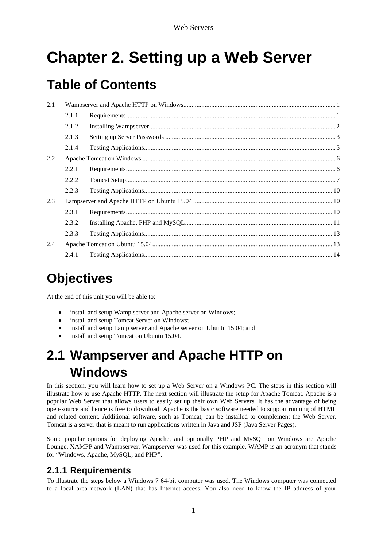# **Chapter 2. Setting up a Web Server**

# **Table of Contents**

| 2.1 |       |  |
|-----|-------|--|
|     | 2.1.1 |  |
|     | 2.1.2 |  |
|     | 2.1.3 |  |
|     | 2.1.4 |  |
| 2.2 |       |  |
|     | 2.2.1 |  |
|     | 2.2.2 |  |
|     | 2.2.3 |  |
| 2.3 |       |  |
|     | 2.3.1 |  |
|     | 2.3.2 |  |
|     | 2.3.3 |  |
| 2.4 |       |  |
|     | 2.4.1 |  |

# **Objectives**

At the end of this unit you will be able to:

- install and setup Wamp server and Apache server on Windows;
- install and setup Tomcat Server on Windows;
- install and setup Lamp server and Apache server on Ubuntu 15.04; and
- install and setup Tomcat on Ubuntu 15.04.

# <span id="page-0-0"></span>**2.1 Wampserver and Apache HTTP on Windows**

In this section, you will learn how to set up a Web Server on a Windows PC. The steps in this section will illustrate how to use Apache HTTP. The next section will illustrate the setup for Apache Tomcat. Apache is a popular Web Server that allows users to easily set up their own Web Servers. It has the advantage of being open-source and hence is free to download. Apache is the basic software needed to support running of HTML and related content. Additional software, such as Tomcat, can be installed to complement the Web Server. Tomcat is a server that is meant to run applications written in Java and JSP (Java Server Pages).

Some popular options for deploying Apache, and optionally PHP and MySQL on Windows are Apache Lounge, XAMPP and Wampserver. Wampserver was used for this example. WAMP is an acronym that stands for "Windows, Apache, MySQL, and PHP".

# <span id="page-0-1"></span>**2.1.1 Requirements**

To illustrate the steps below a Windows 7 64-bit computer was used. The Windows computer was connected to a local area network (LAN) that has Internet access. You also need to know the IP address of your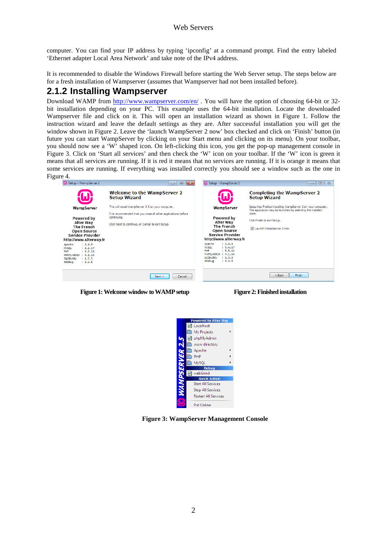computer. You can find your IP address by typing 'ipconfig' at a command prompt. Find the entry labeled 'Ethernet adapter Local Area Network' and take note of the IPv4 address.

It is recommended to disable the Windows Firewall before starting the Web Server setup. The steps below are for a fresh installation of Wampserver (assumes that Wampserver had not been installed before).

## <span id="page-1-0"></span>**2.1.2 Installing Wampserver**

Download WAMP from<http://www.wampserver.com/en/> . You will have the option of choosing 64-bit or 32 bit installation depending on your PC. This example uses the 64-bit installation. Locate the downloaded Wampserver file and click on it. This will open an installation wizard as shown in Figure 1. Follow the instruction wizard and leave the default settings as they are. After successful installation you will get the window shown in Figure 2. Leave the 'launch WampServer 2 now' box checked and click on 'Finish' button (in future you can start WampServer by clicking on your Start menu and clicking on its menu). On your toolbar, you should now see a 'W' shaped icon. On left-clicking this icon, you get the pop-up management console in Figure 3. Click on 'Start all services' and then check the 'W' icon on your toolbar. If the 'W' icon is green it means that all services are running. If it is red it means that no services are running. If it is orange it means that some services are running. If everything was installed correctly you should see a window such as the one in Figure 4.<br> **Example Setup - WampServer 2** 



 **Figure 1: Welcome window to WAMP setup Figure 2: Finished installation**



**Figure 3: WampServer Management Console**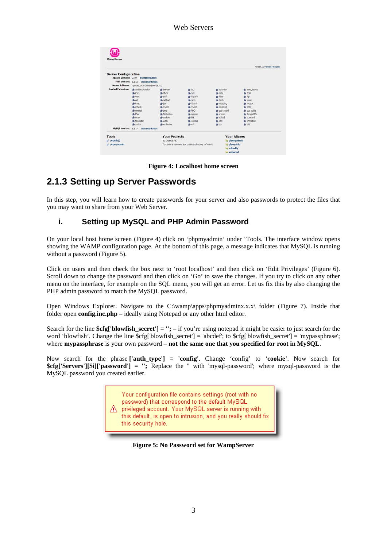|                                  |                                                  |                      |                                                        |                          | Version 2.5 Version Française |
|----------------------------------|--------------------------------------------------|----------------------|--------------------------------------------------------|--------------------------|-------------------------------|
| <b>Server Configuration</b>      |                                                  |                      |                                                        |                          |                               |
|                                  | Apache Version: 2.4.9 - Documentation            |                      |                                                        |                          |                               |
|                                  |                                                  |                      |                                                        |                          |                               |
|                                  | PHP Version: 5.5.12 - Documentation              |                      |                                                        |                          |                               |
|                                  | Server Software: Apacha/2.4.9 (Win64) PHP/S.S.12 |                      |                                                        |                          |                               |
| Loaded Extensions: spachezhander |                                                  | sh bomath            | b22                                                    | sh calendar              | tom dothet                    |
|                                  | So Core                                          | de ctype             | de curi                                                | date                     | she domi                      |
|                                  | se ereo                                          | sh exif.             | A fileirfo                                             | sk-filter                | sh fto                        |
|                                  | de od                                            | so cettext           | de como                                                | the hards                | de icony                      |
|                                  | sh imap                                          | de ison              | <b>b</b> liborni                                       | <b>*</b> mbitring        | <b>Sh</b> morvot              |
|                                  | sk mhash                                         | sh mysel             | sh mysoli                                              | * mysdrd                 | $*$ odx                       |
|                                  | de operasi                                       | $\frac{1}{200}$ pcre | <b>\$ PDO</b>                                          | bevin dog de             | to pdo salibe                 |
|                                  | <b>Sh</b> Phan                                   | <b>A</b> Reflection  | session                                                | de shmop                 | SmoleXML                      |
|                                  | \$4 5030                                         | sockets              | <b>SPL</b>                                             | $\frac{1}{200}$ sailtie3 | sk-standard                   |
|                                  | sk-tokenizer                                     | se wddy.             | * xdebug                                               | sh xml                   | xmireader                     |
|                                  | sh xmirod                                        | sh xmlwriter         | <b>多义</b>                                              | <b>身</b> 210             | Sh zlib                       |
|                                  | MySQL Version: 5.6.17 - Documentation            |                      |                                                        |                          |                               |
| Tools                            |                                                  |                      | <b>Your Projects</b>                                   |                          | <b>Your Aliases</b>           |
| P phpinfo()                      |                                                  | No protects yet.     |                                                        | phomyadmin               |                               |
| phonivadinin                     |                                                  |                      | To create a new one, just create a directory in 'www'. | phosysinfo               |                               |

**Figure 4: Localhost home screen**

# <span id="page-2-0"></span>**2.1.3 Setting up Server Passwords**

In this step, you will learn how to create passwords for your server and also passwords to protect the files that you may want to share from your Web Server.

## **i. Setting up MySQL and PHP Admin Password**

On your local host home screen (Figure 4) click on 'phpmyadmin' under 'Tools. The interface window opens showing the WAMP configuration page. At the bottom of this page, a message indicates that MySQL is running without a password (Figure 5).

Click on users and then check the box next to 'root localhost' and then click on 'Edit Privileges' (Figure 6). Scroll down to change the password and then click on 'Go' to save the changes. If you try to click on any other menu on the interface, for example on the SQL menu, you will get an error. Let us fix this by also changing the PHP admin password to match the MySQL password.

Open Windows Explorer. Navigate to the C:\wamp\apps\phpmyadminx.x.x\ folder (Figure 7). Inside that folder open **config.inc.php** – ideally using Notepad or any other html editor.

Search for the line **\$cfg['blowfish\_secret'] = '';** – if you're using notepad it might be easier to just search for the word 'blowfish'. Change the line \$cfg['blowfish\_secret'] = 'abcdef'; to \$cfg['blowfish\_secret'] = 'mypassphrase'; where **mypassphrase** is your own password – **not the same one that you specified for root in MySQL**.

Now search for the phrase **['auth\_type'] = 'config'**. Change 'config' to '**cookie**'. Now search for **\$cfg['Servers'][\$i]['password'] = '';** Replace the '' with 'mysql-password'; where mysql-password is the MySQL password you created earlier.

> Your configuration file contains settings (root with no password) that correspond to the default MySQL A privileged account. Your MySQL server is running with this default, is open to intrusion, and you really should fix this security hole.

**Figure 5: No Password set for WampServer**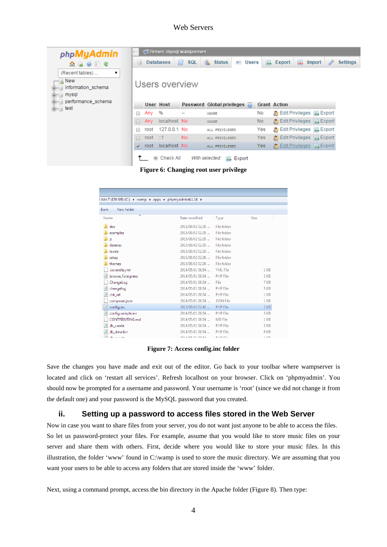| php <b>MyAdmin</b>                   | Di Server: mysql wampserver<br>$\leftarrow$ |         |                  |                  |                                                |                   |            |                     |    |                                                       |                 |
|--------------------------------------|---------------------------------------------|---------|------------------|------------------|------------------------------------------------|-------------------|------------|---------------------|----|-------------------------------------------------------|-----------------|
| $\Omega$ B $\Theta$ $\Theta$ C       | lul                                         |         | <b>Databases</b> | <b>SQL</b><br>Щf | Ok.<br><b>Status</b>                           | n<br><b>Users</b> | <b>Red</b> | <b>Export</b>       | m. | D<br><b>Import</b>                                    | <b>Settings</b> |
| (Recent tables)<br>7                 |                                             |         |                  |                  |                                                |                   |            |                     |    |                                                       |                 |
| o New<br>information_schema<br>mysql |                                             |         | Users overview   |                  |                                                |                   |            |                     |    |                                                       |                 |
| performance_schema                   |                                             |         | User Host        |                  | Password Global privileges $\overline{\omega}$ |                   |            | <b>Grant Action</b> |    |                                                       |                 |
| $+$ and test                         |                                             | Any     | %                | --               | <b>USAGE</b>                                   |                   | <b>No</b>  |                     |    | Edit Privileges <b>Export</b>                         |                 |
|                                      | $\Box$                                      | Any     | localhost No     |                  | <b>USAGE</b>                                   |                   | No.        |                     |    | <i>B</i> Edit Privileges a Export                     |                 |
|                                      |                                             | root    | 127.0.0.1 No     |                  | ALL PRIVILEGES                                 |                   | Yes        |                     |    | Export Privileges <b>Export</b>                       |                 |
|                                      | $\Box$                                      | root    | -11              | No.              | ALL PRIVILEGES                                 |                   | Yes        |                     |    | Export Privileges <b>Export</b>                       |                 |
|                                      |                                             | iy root | localhost No     |                  | ALL PRIVILEGES                                 |                   | <b>Yes</b> |                     |    | <b>P</b> <sub>2</sub> Edit Privileges <b>A</b> Export |                 |
|                                      |                                             |         | ⊟ Check All      |                  | With selected:                                 | $\Box$ Export     |            |                     |    |                                                       |                 |
|                                      |                                             |         |                  |                  | Figure 6: Changing root user privilege         |                   |            |                     |    |                                                       |                 |

| Win 7 (150 GB) (C:) $\rightarrow$ wamp $\rightarrow$ apps $\rightarrow$ phpmyadmin4.1.14 $\rightarrow$ |                  |                  |             |
|--------------------------------------------------------------------------------------------------------|------------------|------------------|-------------|
| New folder<br><b>Burn</b>                                                                              |                  |                  |             |
| ≖                                                                                                      |                  |                  |             |
| Name                                                                                                   | Date modified    | Type             | Size        |
| doc                                                                                                    | 2015/08/02 02:35 | File folder      |             |
| examples                                                                                               | 2015/08/02 02:35 | File folder      |             |
| is                                                                                                     | 2015/08/02 02:35 | File folder      |             |
| libraries                                                                                              | 2015/08/02 02:35 | File folder      |             |
| locale                                                                                                 | 2015/08/02 02:35 | File folder      |             |
| setup                                                                                                  | 2015/08/02 02:36 | File folder      |             |
| themes                                                                                                 | 2015/08/02 02:36 | File folder      |             |
| .coveralls.yml                                                                                         | 2014/05/01 08:54 | <b>YML File</b>  | 1 KB        |
| browse foreigners                                                                                      | 2014/05/01 08:54 | <b>PHP File</b>  | 2 KB        |
| ChangeLog                                                                                              | 2014/05/01 08:54 | File             | 7 KB        |
| changelog                                                                                              | 2014/05/01 08:54 | <b>PHP File</b>  | 5 KB        |
| chk rel                                                                                                | 2014/05/01 08:54 | <b>PHP File</b>  | $1$ KB      |
| composer.json                                                                                          | 2014/05/01 08:54 | <b>JSON File</b> | 1 KB        |
| Ιđ<br>config.inc                                                                                       | 2015/08/02 02:46 | PHP File         | $2$ KB      |
| config.sample.inc<br>a                                                                                 | 2014/05/01 08:54 | <b>PHP File</b>  | 5 KB        |
| CONTRIBUTING.md                                                                                        | 2014/05/01 08:54 | <b>MD</b> File   | $1$ KB      |
| db create                                                                                              | 2014/05/01 08:54 | <b>PHP File</b>  | <b>5 KB</b> |
| db datadict                                                                                            | 2014/05/01 08:54 | <b>PHP File</b>  | 9 KB        |
| <b>Collaboration</b>                                                                                   | 2014/05/01 00:54 | DUD FILE         | 1.10D       |

**Figure 7: Access config.inc folder**

Save the changes you have made and exit out of the editor. Go back to your toolbar where wampserver is located and click on 'restart all services'. Refresh localhost on your browser. Click on 'phpmyadmin'. You should now be prompted for a username and password. Your username is 'root' (since we did not change it from the default one) and your password is the MySQL password that you created.

#### **ii. Setting up a password to access files stored in the Web Server**

Now in case you want to share files from your server, you do not want just anyone to be able to access the files. So let us password-protect your files. For example, assume that you would like to store music files on your server and share them with others. First, decide where you would like to store your music files. In this illustration, the folder 'www' found in C:\wamp is used to store the music directory. We are assuming that you want your users to be able to access any folders that are stored inside the 'www' folder.

Next, using a command prompt, access the bin directory in the Apache folder (Figure 8). Then type: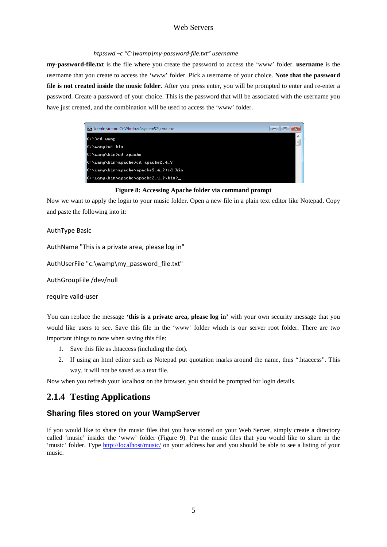#### *htpsswd –c "C:\wamp\my-password-file.txt" username*

**my-password-file.txt** is the file where you create the password to access the 'www' folder. **username** is the username that you create to access the 'www' folder. Pick a username of your choice. **Note that the password file is not created inside the music folder.** After you press enter, you will be prompted to enter and re-enter a password. Create a password of your choice. This is the password that will be associated with the username you have just created, and the combination will be used to access the 'www' folder.



**Figure 8: Accessing Apache folder via command prompt**

Now we want to apply the login to your music folder. Open a new file in a plain text editor like Notepad. Copy and paste the following into it:

#### AuthType Basic

AuthName "This is a private area, please log in"

AuthUserFile "c:\wamp\my\_password\_file.txt"

AuthGroupFile /dev/null

require valid-user

You can replace the message **'this is a private area, please log in'** with your own security message that you would like users to see. Save this file in the 'www' folder which is our server root folder. There are two important things to note when saving this file:

- 1. Save this file as .htaccess (including the dot).
- 2. If using an html editor such as Notepad put quotation marks around the name, thus ".htaccess". This way, it will not be saved as a text file.

Now when you refresh your localhost on the browser, you should be prompted for login details.

## <span id="page-4-0"></span>**2.1.4 Testing Applications**

## **Sharing files stored on your WampServer**

If you would like to share the music files that you have stored on your Web Server, simply create a directory called 'music' insider the 'www' folder (Figure 9). Put the music files that you would like to share in the 'music' folder. Type<http://localhost/music/> on your address bar and you should be able to see a listing of your music.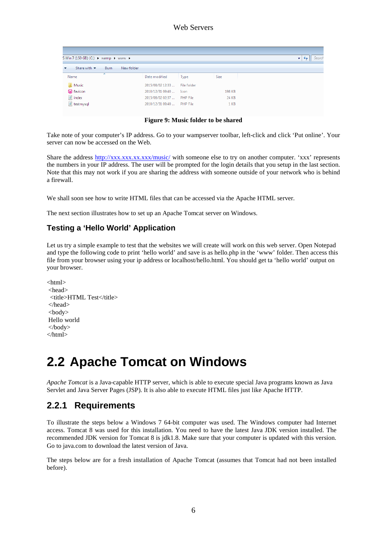| S Win 7 (150 GB) (C:) > wamp > www >                              |                  |                 |        | Search<br>٠ |
|-------------------------------------------------------------------|------------------|-----------------|--------|-------------|
| New folder<br>Share with $\blacktriangledown$<br><b>Burn</b><br>◡ |                  |                 |        |             |
| ≖<br>Name                                                         | Date modified    | Type            | Size   |             |
| <b>Nusic</b>                                                      | 2015/08/02 12:33 | File folder     |        |             |
| <b>W</b> favicon                                                  | 2010/12/31 09:40 | Icon            | 198 KB |             |
| $\blacksquare$ index                                              | 2015/08/02 02:37 | <b>PHP File</b> | 24 KB  |             |
| <sup>1</sup> testmysql                                            | 2010/12/31 09:40 | PHP File        | 1 KB   |             |

**Figure 9: Music folder to be shared**

Take note of your computer's IP address. Go to your wampserver toolbar, left-click and click 'Put online'. Your server can now be accessed on the Web.

Share the address http://xxx.xxx.xx.xxx.xxx/music/ with someone else to try on another computer. 'xxx' represents the numbers in your IP address. The user will be prompted for the login details that you setup in the last section. Note that this may not work if you are sharing the address with someone outside of your network who is behind a firewall.

We shall soon see how to write HTML files that can be accessed via the Apache HTML server.

The next section illustrates how to set up an Apache Tomcat server on Windows.

## **Testing a 'Hello World' Application**

Let us try a simple example to test that the websites we will create will work on this web server. Open Notepad and type the following code to print 'hello world' and save is as hello.php in the 'www' folder. Then access this file from your browser using your ip address or localhost/hello.html. You should get ta 'hello world' output on your browser.

<html> <head> <title>HTML Test</title> </head> <body> Hello world </body> </html>

# <span id="page-5-0"></span>**2.2 Apache Tomcat on Windows**

*Apache Tomcat* is a Java-capable HTTP server, which is able to execute special Java programs known as Java Servlet and Java Server Pages (JSP). It is also able to execute HTML files just like Apache HTTP.

## <span id="page-5-1"></span>**2.2.1 Requirements**

To illustrate the steps below a Windows 7 64-bit computer was used. The Windows computer had Internet access. Tomcat 8 was used for this installation. You need to have the latest Java JDK version installed. The recommended JDK version for Tomcat 8 is jdk1.8. Make sure that your computer is updated with this version. Go to java.com to download the latest version of Java.

The steps below are for a fresh installation of Apache Tomcat (assumes that Tomcat had not been installed before).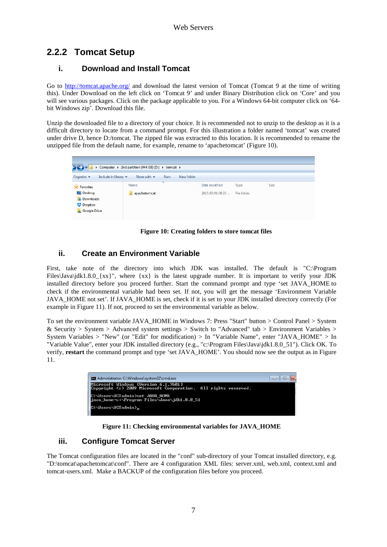# <span id="page-6-0"></span>**2.2.2 Tomcat Setup**

### **i. Download and Install Tomcat**

Go to<http://tomcat.apache.org/> and download the latest version of Tomcat (Tomcat 9 at the time of writing this). Under Download on the left click on 'Tomcat 9' and under Binary Distribution click on 'Core' and you will see various packages. Click on the package applicable to you. For a Windows 64-bit computer click on '64bit Windows zip'. Download this file.

Unzip the downloaded file to a directory of your choice. It is recommended not to unzip to the desktop as it is a difficult directory to locate from a command prompt. For this illustration a folder named 'tomcat' was created under drive D, hence D:/tomcat. The zipped file was extracted to this location. It is recommended to rename the unzipped file from the default name, for example, rename to 'apachetomcat' (Figure 10).

|                                                                        | ▶ Computer ▶ 2nd partition (444 GB) (D:) ▶ tomcat ▶ |                                 |      |            |                  |             |             |  |  |  |  |
|------------------------------------------------------------------------|-----------------------------------------------------|---------------------------------|------|------------|------------------|-------------|-------------|--|--|--|--|
| Organize $\blacktriangledown$                                          | Include in library $\blacktriangledown$             | Share with $\blacktriangledown$ | Burn | New folder |                  |             |             |  |  |  |  |
| <b>Exercites</b>                                                       |                                                     | Name                            | ≖    |            | Date modified    | Type        | <b>Size</b> |  |  |  |  |
| Desktop<br><b>Downloads</b><br><b>Dropbox</b><br><b>C</b> Google Drive |                                                     | apachetomcat                    |      |            | 2015/07/01 09:23 | File folder |             |  |  |  |  |

**Figure 10: Creating folders to store tomcat files**

## **ii. Create an Environment Variable**

First, take note of the directory into which JDK was installed. The default is "C:\Program Files\Java\jdk1.8.0\_{xx}", where {xx} is the latest upgrade number. It is important to verify your JDK installed directory before you proceed further. Start the command prompt and type 'set JAVA\_HOME to check if the environmental variable had been set. If not, you will get the message 'Environment Variable JAVA\_HOME not set'. If JAVA\_HOME is set, check if it is set to your JDK installed directory correctly (For example in Figure 11). If not, proceed to set the environmental variable as below.

To set the environment variable JAVA\_HOME in Windows 7: Press "Start" button > Control Panel > System & Security > System > Advanced system settings > Switch to "Advanced" tab > Environment Variables > System Variables > "New" (or "Edit" for modification) > In "Variable Name", enter "JAVA\_HOME" > In "Variable Value", enter your JDK installed directory (e.g., "c:\Program Files\Java\jdk1.8.0\_51"). Click OK. To verify, **restart** the command prompt and type 'set JAVA\_HOME'. You should now see the output as in Figure 11.

| Administrator: C:\Windows\system32\cmd.exe                                                             | - 6 |
|--------------------------------------------------------------------------------------------------------|-----|
| Microsoft Windows [Version 6.1.7601]<br>Copyright (c) 2009 Microsoft Corporation. All rights reserved. |     |
| C:\Users\UCTadmin>set JAVA_HOME<br>.iava_home=c:\Program_Files\Java\.idk1.8.0_51                       |     |
| C:\Users\UCTadmin}_                                                                                    |     |

**Figure 11: Checking environmental variables for JAVA\_HOME**

## **iii. Configure Tomcat Server**

The Tomcat configuration files are located in the "conf" sub-directory of your Tomcat installed directory, e.g. "D:\tomcat\apachetomcat\conf". There are 4 configuration XML files: server.xml, web.xml, context.xml and tomcat-users.xml. Make a BACKUP of the configuration files before you proceed.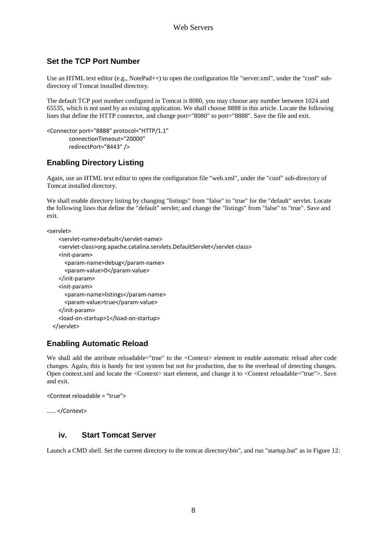## **Set the TCP Port Number**

Use an HTML text editor (e.g., NotePad++) to open the configuration file "server.xml", under the "conf" subdirectory of Tomcat installed directory.

The default TCP port number configured in Tomcat is 8080, you may choose any number between 1024 and 65535, which is not used by an existing application. We shall choose 8888 in this article. Locate the following lines that define the HTTP connector, and change port="8080" to port="8888". Save the file and exit.

```
<Connector port="8888" protocol="HTTP/1.1"
        connectionTimeout="20000"
        redirectPort="8443" />
```
## **Enabling Directory Listing**

Again, use an HTML text editor to open the configuration file "web.xml", under the "conf" sub-directory of Tomcat installed directory.

We shall enable directory listing by changing "listings" from "false" to "true" for the "default" servlet. Locate the following lines that define the "default" servlet; and change the "listings" from "false" to "true". Save and exit.

<servlet>

```
 <servlet-name>default</servlet-name>
   <servlet-class>org.apache.catalina.servlets.DefaultServlet</servlet-class>
   <init-param>
     <param-name>debug</param-name>
     <param-value>0</param-value>
   </init-param>
  <init-param>
     <param-name>listings</param-name>
     <param-value>true</param-value>
   </init-param>
   <load-on-startup>1</load-on-startup>
 </servlet>
```
## **Enabling Automatic Reload**

We shall add the attribute reloadable="true" to the <Context> element to enable automatic reload after code changes. Again, this is handy for test system but not for production, due to the overhead of detecting changes. Open context.xml and locate the <Context> start element, and change it to <Context reloadable="true">. Save and exit.

```
<Context reloadable = "true">
```

```
…… </Context>
```
#### **iv. Start Tomcat Server**

Launch a CMD shell. Set the current directory to the tomcat directory\bin", and run "startup.bat" as in Figure 12: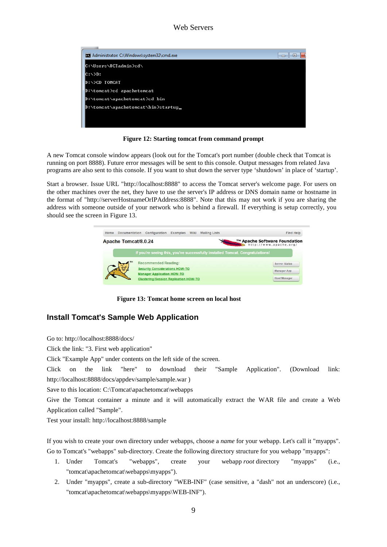

**Figure 12: Starting tomcat from command prompt**

A new Tomcat console window appears (look out for the Tomcat's port number (double check that Tomcat is running on port 8888). Future error messages will be sent to this console. Output messages from related Java programs are also sent to this console. If you want to shut down the server type 'shutdown' in place of 'startup'.

Start a browser. Issue URL "http://localhost:8888" to access the Tomcat server's welcome page. For users on the other machines over the net, they have to use the server's IP address or DNS domain name or hostname in the format of "http://serverHostnameOrIPAddress:8888". Note that this may not work if you are sharing the address with someone outside of your network who is behind a firewall. If everything is setup correctly, you should see the screen in Figure 13.



**Figure 13: Tomcat home screen on local host**

## **Install Tomcat's Sample Web Application**

Go to: http://localhost:8888/docs/

Click the link: "3. First web application"

Click "Example App" under contents on the left side of the screen.

Click on the link "here" to download their "Sample Application". (Download link: http://localhost:8888/docs/appdev/sample/sample.war )

Save to this location: C:\Tomcat\apachetomcat\webapps

Give the Tomcat container a minute and it will automatically extract the WAR file and create a Web Application called "Sample".

Test your install: http://localhost:8888/sample

If you wish to create your own directory under webapps, choose a *name* for your webapp. Let's call it "myapps". Go to Tomcat's "webapps" sub-directory. Create the following directory structure for you webapp "myapps":

- 1. Under Tomcat's "webapps", create your webapp *root* directory "myapps" (i.e., "tomcat\apachetomcat\webapps\myapps").
- 2. Under "myapps", create a sub-directory "WEB-INF" (case sensitive, a "dash" not an underscore) (i.e., "tomcat\apachetomcat\webapps\myapps\WEB-INF").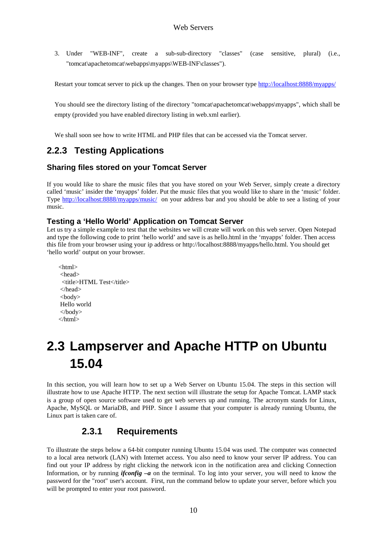3. Under "WEB-INF", create a sub-sub-directory "classes" (case sensitive, plural) (i.e., "tomcat\apachetomcat\webapps\myapps\WEB-INF\classes").

Restart your tomcat server to pick up the changes. Then on your browser type<http://localhost:8888/myapps/>

You should see the directory listing of the directory "tomcat\apachetomcat\webapps\myapps", which shall be empty (provided you have enabled directory listing in web.xml earlier).

We shall soon see how to write HTML and PHP files that can be accessed via the Tomcat server.

## <span id="page-9-0"></span>**2.2.3 Testing Applications**

### **Sharing files stored on your Tomcat Server**

If you would like to share the music files that you have stored on your Web Server, simply create a directory called 'music' insider the 'myapps' folder. Put the music files that you would like to share in the 'music' folder. Type<http://localhost:8888/myapps/music/> on your address bar and you should be able to see a listing of your music.

### **Testing a 'Hello World' Application on Tomcat Server**

Let us try a simple example to test that the websites we will create will work on this web server. Open Notepad and type the following code to print 'hello world' and save is as hello.html in the 'myapps' folder. Then access this file from your browser using your ip address or http://localhost:8888/myapps/hello.html. You should get 'hello world' output on your browser.

<html> <head> <title>HTML Test</title> </head> <body> Hello world </body> </html>

# <span id="page-9-1"></span>**2.3 Lampserver and Apache HTTP on Ubuntu 15.04**

In this section, you will learn how to set up a Web Server on Ubuntu 15.04. The steps in this section will illustrate how to use Apache HTTP. The next section will illustrate the setup for Apache Tomcat. LAMP stack is a group of open source software used to get web servers up and running. The acronym stands for Linux, Apache, MySQL or MariaDB, and PHP. Since I assume that your computer is already running Ubuntu, the Linux part is taken care of.

## **2.3.1 Requirements**

<span id="page-9-2"></span>To illustrate the steps below a 64-bit computer running Ubuntu 15.04 was used. The computer was connected to a local area network (LAN) with Internet access. You also need to know your server IP address. You can find out your IP address by right clicking the network icon in the notification area and clicking Connection Information, or by running *ifconfig –a* on the terminal. To log into your server, you will need to know the password for the "root" user's account. First, run the command below to update your server, before which you will be prompted to enter your root password.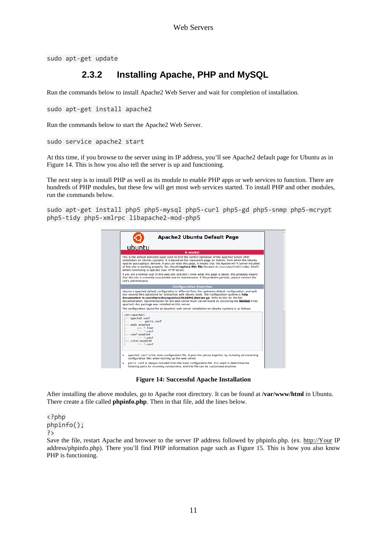<span id="page-10-0"></span>sudo apt-get update

# **2.3.2 Installing Apache, PHP and MySQL**

Run the commands below to install Apache2 Web Server and wait for completion of installation.

```
sudo apt-get install apache2
```
Run the commands below to start the Apache2 Web Server.

sudo service apache2 start

At this time, if you browse to the server using its IP address, you'll see Apache2 default page for Ubuntu as in Figure 14. This is how you also tell the server is up and functioning.

The next step is to install PHP as well as its module to enable PHP apps or web services to function. There are hundreds of PHP modules, but these few will get most web services started. To install PHP and other modules, run the commands below.

sudo apt-get install php5 php5-mysql php5-curl php5-gd php5-snmp php5-mcrypt php5-tidy php5-xmlrpc libapache2-mod-php5



**Figure 14: Successful Apache Installation**

After installing the above modules, go to Apache root directory. It can be found at **/var/www/html** in Ubuntu. There create a file called **phpinfo.php**. Then in that file, add the lines below.

<?php phpinfo(); ?>

Save the file, restart Apache and browser to the server IP address followed by phpinfo.php. (ex. [http://Your](http://your/) IP address/phpinfo.php). There you'll find PHP information page such as Figure 15. This is how you also know PHP is functioning.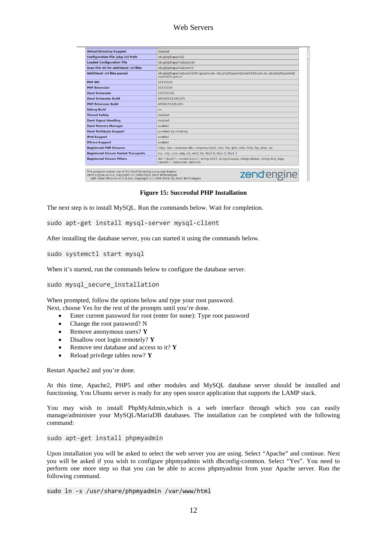| <b>Virtual Directory Support</b>           | disabled                                                                                                                           |
|--------------------------------------------|------------------------------------------------------------------------------------------------------------------------------------|
| <b>Configuration File (php.ini) Path</b>   | /etc/php5/apache2                                                                                                                  |
| <b>Loaded Configuration File</b>           | /etc/php5/apache2/php.ini                                                                                                          |
| Scan this dir for additional .ini files    | /etc/php5/apache2/conf.d                                                                                                           |
| Additional .ini files parsed               | /etc/php5/apache2/conf.d/05-opcache.ini, /etc/php5/apache2/conf.d/10-pdo.ini, /etc/php5/apache2<br>/conf.d/20-json.ini             |
| <b>PHP API</b>                             | 20131106                                                                                                                           |
| <b>PHP Extension</b>                       | 20131226                                                                                                                           |
| <b>Zend Extension</b>                      | 220131226                                                                                                                          |
| <b>Zend Extension Build</b>                | API220131226.NTS                                                                                                                   |
| <b>PHP Extension Build</b>                 | API20131226.NTS                                                                                                                    |
| <b>Debug Build</b>                         | no                                                                                                                                 |
| <b>Thread Safety</b>                       | disabled                                                                                                                           |
| <b>Zend Signal Handling</b>                | disabled                                                                                                                           |
| <b>Zend Memory Manager</b>                 | enabled                                                                                                                            |
| <b>Zend Multibyte Support</b>              | provided by mbstring                                                                                                               |
| <b>IPv6 Support</b>                        | enabled                                                                                                                            |
| <b>DTrace Support</b>                      | enabled                                                                                                                            |
| <b>Registered PHP Streams</b>              | https, ftps, compress.zlib, compress.bzip2, php, file, glob, data, http, ftp, phar, zip                                            |
| <b>Registered Stream Socket Transports</b> | tcp, udp, unix, udg, ssl, sslv3, tls, tlsv1.0, tlsv1.1, tlsv1.2                                                                    |
| <b>Registered Stream Filters</b>           | zlib.*, bzip2.*, convert.iconv.*, string.rot13, string.toupper, string.tolower, string.strip tags,<br>convert.*, consumed, dechunk |

**Figure 15: Successful PHP Installation**

The next step is to install MySQL. Run the commands below. Wait for completion.

sudo apt-get install mysql-server mysql-client

After installing the database server, you can started it using the commands below.

sudo systemctl start mysql

When it's started, run the commands below to configure the database server.

#### sudo mysql secure installation

When prompted, follow the options below and type your root password. Next, choose Yes for the rest of the prompts until you're done.

- Enter current password for root (enter for none): Type root password
- Change the root password? N
- Remove anonymous users? **Y**
- Disallow root login remotely? **Y**
- Remove test database and access to it? **Y**
- Reload privilege tables now? **Y**

Restart Apache2 and you're done.

At this time, Apache2, PHP5 and other modules and MySQL database server should be installed and functioning. You Ubuntu server is ready for any open source application that supports the LAMP stack.

You may wish to install PhpMyAdmin,which is a web interface through which you can easily manage/administer your MySQL/MariaDB databases. The installation can be completed with the following command:

sudo apt-get install phpmyadmin

Upon installation you will be asked to select the web server you are using. Select "Apache" and continue. Next you will be asked if you wish to configure phpmyadmin with dbconfig-common. Select "Yes". You need to perform one more step so that you can be able to access phpmyadmin from your Apache server. Run the following command.

sudo ln -s /usr/share/phpmyadmin /var/www/html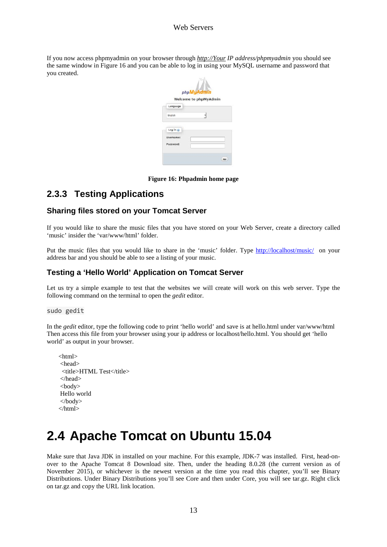If you now access phpmyadmin on your browser through *[http://Your](http://your/) IP address/phpmyadmin* you should see the same window in Figure 16 and you can be able to log in using your MySQL username and password that you created.

|           | phpMyAdmin                   |
|-----------|------------------------------|
|           | <b>Welcome to phpMyAdmin</b> |
| Language  |                              |
| English   |                              |
| Log in @  |                              |
|           |                              |
| Username: |                              |
| Password: |                              |

**Figure 16: Phpadmin home page**

# <span id="page-12-0"></span>**2.3.3 Testing Applications**

## **Sharing files stored on your Tomcat Server**

If you would like to share the music files that you have stored on your Web Server, create a directory called 'music' insider the 'var/www/html' folder.

Put the music files that you would like to share in the 'music' folder. Type<http://localhost/music/> on your address bar and you should be able to see a listing of your music.

### **Testing a 'Hello World' Application on Tomcat Server**

Let us try a simple example to test that the websites we will create will work on this web server. Type the following command on the terminal to open the *gedit* editor.

#### sudo gedit

In the *gedit* editor, type the following code to print 'hello world' and save is at hello.html under var/www/html Then access this file from your browser using your ip address or localhost/hello.html. You should get 'hello world' as output in your browser.

<html> <head> <title>HTML Test</title> </head> <body> Hello world </body> </html>

# <span id="page-12-1"></span>**2.4 Apache Tomcat on Ubuntu 15.04**

Make sure that Java JDK in installed on your machine. For this example, JDK-7 was installed. First, head-onover to the Apache Tomcat 8 Download site. Then, under the heading 8.0.28 (the current version as of November 2015), or whichever is the newest version at the time you read this chapter, you'll see Binary Distributions. Under Binary Distributions you'll see Core and then under Core, you will see tar.gz. Right click on tar.gz and copy the URL link location.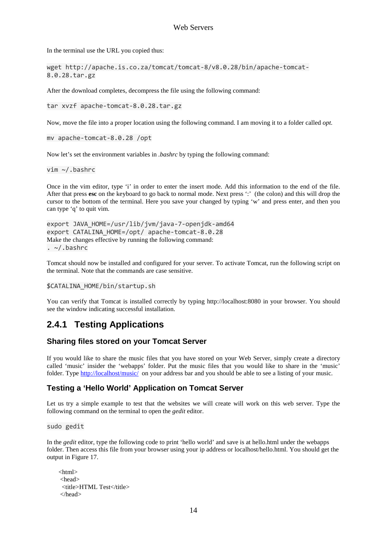In the terminal use the URL you copied thus:

wget [http://apache.is.co.za/tomcat/tomcat-8/v8.0.28/bin/apache-tomcat-](http://apache.is.co.za/tomcat/tomcat-8/v8.0.28/bin/apache-tomcat-8.0.28.tar.gz)[8.0.28.tar.gz](http://apache.is.co.za/tomcat/tomcat-8/v8.0.28/bin/apache-tomcat-8.0.28.tar.gz)

After the download completes, decompress the file using the following command:

tar xvzf apache-tomcat-8.0.28.tar.gz

Now, move the file into a proper location using the following command. I am moving it to a folder called *opt.*

mv apache-tomcat-8.0.28 /opt

Now let's set the environment variables in *.bashrc* by typing the following command:

vim ~/.bashrc

Once in the vim editor, type 'i' in order to enter the insert mode. Add this information to the end of the file. After that press **esc** on the keyboard to go back to normal mode. Next press ':' (the colon) and this will drop the cursor to the bottom of the terminal. Here you save your changed by typing 'w' and press enter, and then you can type 'q' to quit vim.

```
export JAVA_HOME=/usr/lib/jvm/java-7-openjdk-amd64
export CATALINA_HOME=/opt/ apache-tomcat-8.0.28
Make the changes effective by running the following command:
. \sim /.bashrc
```
Tomcat should now be installed and configured for your server. To activate Tomcat, run the following script on the terminal. Note that the commands are case sensitive.

#### \$CATALINA\_HOME/bin/startup.sh

You can verify that Tomcat is installed correctly by typing http://localhost:8080 in your browser. You should see the window indicating successful installation.

## <span id="page-13-0"></span>**2.4.1 Testing Applications**

#### **Sharing files stored on your Tomcat Server**

If you would like to share the music files that you have stored on your Web Server, simply create a directory called 'music' insider the 'webapps' folder. Put the music files that you would like to share in the 'music' folder. Type<http://localhost/music/> on your address bar and you should be able to see a listing of your music.

#### **Testing a 'Hello World' Application on Tomcat Server**

Let us try a simple example to test that the websites we will create will work on this web server. Type the following command on the terminal to open the *gedit* editor.

sudo gedit

In the *gedit* editor, type the following code to print 'hello world' and save is at hello.html under the webapps folder. Then access this file from your browser using your ip address or localhost/hello.html. You should get the output in Figure 17.

```
<html>
<head>
 <title>HTML Test</title>
</head>
```